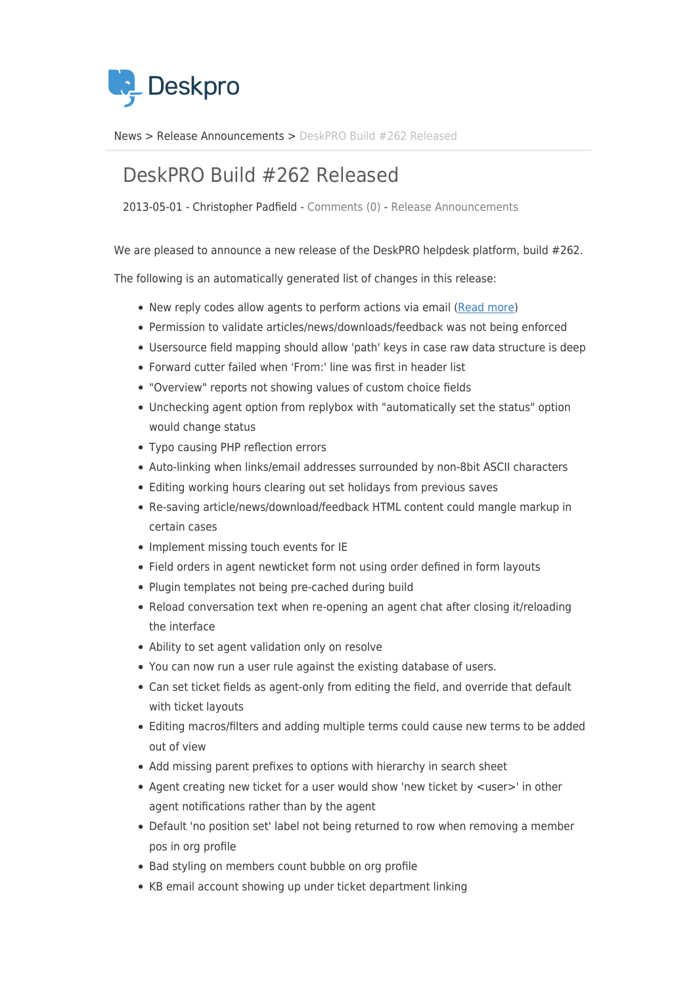

[News](https://support.deskpro.com/da/news) > [Release Announcements](https://support.deskpro.com/da/news/release-announcements) > [DeskPRO Build #262 Released](https://support.deskpro.com/da/news/posts/deskpro-build-262-released)

## DeskPRO Build #262 Released

2013-05-01 - Christopher Padfield - [Comments \(0\)](#page--1-0) - [Release Announcements](https://support.deskpro.com/da/news/release-announcements)

We are pleased to announce a new release of the DeskPRO helpdesk platform, build #262.

The following is an automatically generated list of changes in this release:

- New reply codes allow agents to perform actions via email [\(Read more](http://support.deskpro.com/news/view/329))
- Permission to validate articles/news/downloads/feedback was not being enforced
- Usersource field mapping should allow 'path' keys in case raw data structure is deep
- Forward cutter failed when 'From:' line was first in header list
- "Overview" reports not showing values of custom choice fields
- Unchecking agent option from replybox with "automatically set the status" option would change status
- Typo causing PHP reflection errors
- Auto-linking when links/email addresses surrounded by non-8bit ASCII characters
- Editing working hours clearing out set holidays from previous saves
- Re-saving article/news/download/feedback HTML content could mangle markup in certain cases
- Implement missing touch events for IE
- Field orders in agent newticket form not using order defined in form layouts
- Plugin templates not being pre-cached during build
- Reload conversation text when re-opening an agent chat after closing it/reloading the interface
- Ability to set agent validation only on resolve
- You can now run a user rule against the existing database of users.
- Can set ticket fields as agent-only from editing the field, and override that default with ticket layouts
- Editing macros/filters and adding multiple terms could cause new terms to be added out of view
- Add missing parent prefixes to options with hierarchy in search sheet
- Agent creating new ticket for a user would show 'new ticket by <user>' in other agent notifications rather than by the agent
- Default 'no position set' label not being returned to row when removing a member pos in org profile
- Bad styling on members count bubble on org profile
- KB email account showing up under ticket department linking